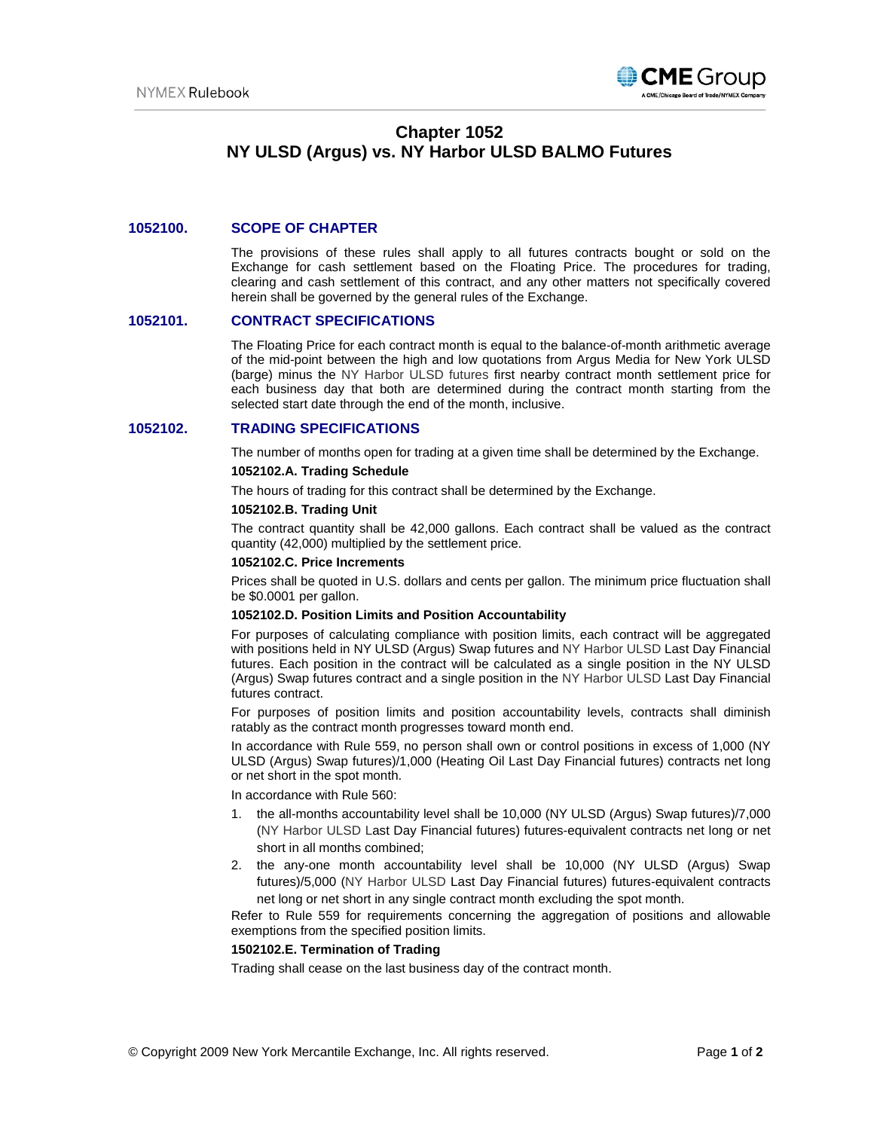

# **Chapter 1052 NY ULSD (Argus) vs. NY Harbor ULSD BALMO Futures**

# **1052100. SCOPE OF CHAPTER**

The provisions of these rules shall apply to all futures contracts bought or sold on the Exchange for cash settlement based on the Floating Price. The procedures for trading, clearing and cash settlement of this contract, and any other matters not specifically covered herein shall be governed by the general rules of the Exchange.

### **1052101. CONTRACT SPECIFICATIONS**

The Floating Price for each contract month is equal to the balance-of-month arithmetic average of the mid-point between the high and low quotations from Argus Media for New York ULSD (barge) minus the NY Harbor ULSD futures first nearby contract month settlement price for each business day that both are determined during the contract month starting from the selected start date through the end of the month, inclusive.

### **1052102. TRADING SPECIFICATIONS**

The number of months open for trading at a given time shall be determined by the Exchange.

# **1052102.A. Trading Schedule**

The hours of trading for this contract shall be determined by the Exchange.

#### **1052102.B. Trading Unit**

The contract quantity shall be 42,000 gallons. Each contract shall be valued as the contract quantity (42,000) multiplied by the settlement price.

#### **1052102.C. Price Increments**

Prices shall be quoted in U.S. dollars and cents per gallon. The minimum price fluctuation shall be \$0.0001 per gallon.

#### **1052102.D. Position Limits and Position Accountability**

For purposes of calculating compliance with position limits, each contract will be aggregated with positions held in NY ULSD (Argus) Swap futures and NY Harbor ULSD Last Day Financial futures. Each position in the contract will be calculated as a single position in the NY ULSD (Argus) Swap futures contract and a single position in the NY Harbor ULSD Last Day Financial futures contract.

For purposes of position limits and position accountability levels, contracts shall diminish ratably as the contract month progresses toward month end.

In accordance with Rule 559, no person shall own or control positions in excess of 1,000 (NY ULSD (Argus) Swap futures)/1,000 (Heating Oil Last Day Financial futures) contracts net long or net short in the spot month.

In accordance with Rule 560:

- 1. the all-months accountability level shall be 10,000 (NY ULSD (Argus) Swap futures)/7,000 (NY Harbor ULSD Last Day Financial futures) futures-equivalent contracts net long or net short in all months combined;
- 2. the any-one month accountability level shall be 10,000 (NY ULSD (Argus) Swap futures)/5,000 (NY Harbor ULSD Last Day Financial futures) futures-equivalent contracts net long or net short in any single contract month excluding the spot month.

Refer to Rule 559 for requirements concerning the aggregation of positions and allowable exemptions from the specified position limits.

# **1502102.E. Termination of Trading**

Trading shall cease on the last business day of the contract month.